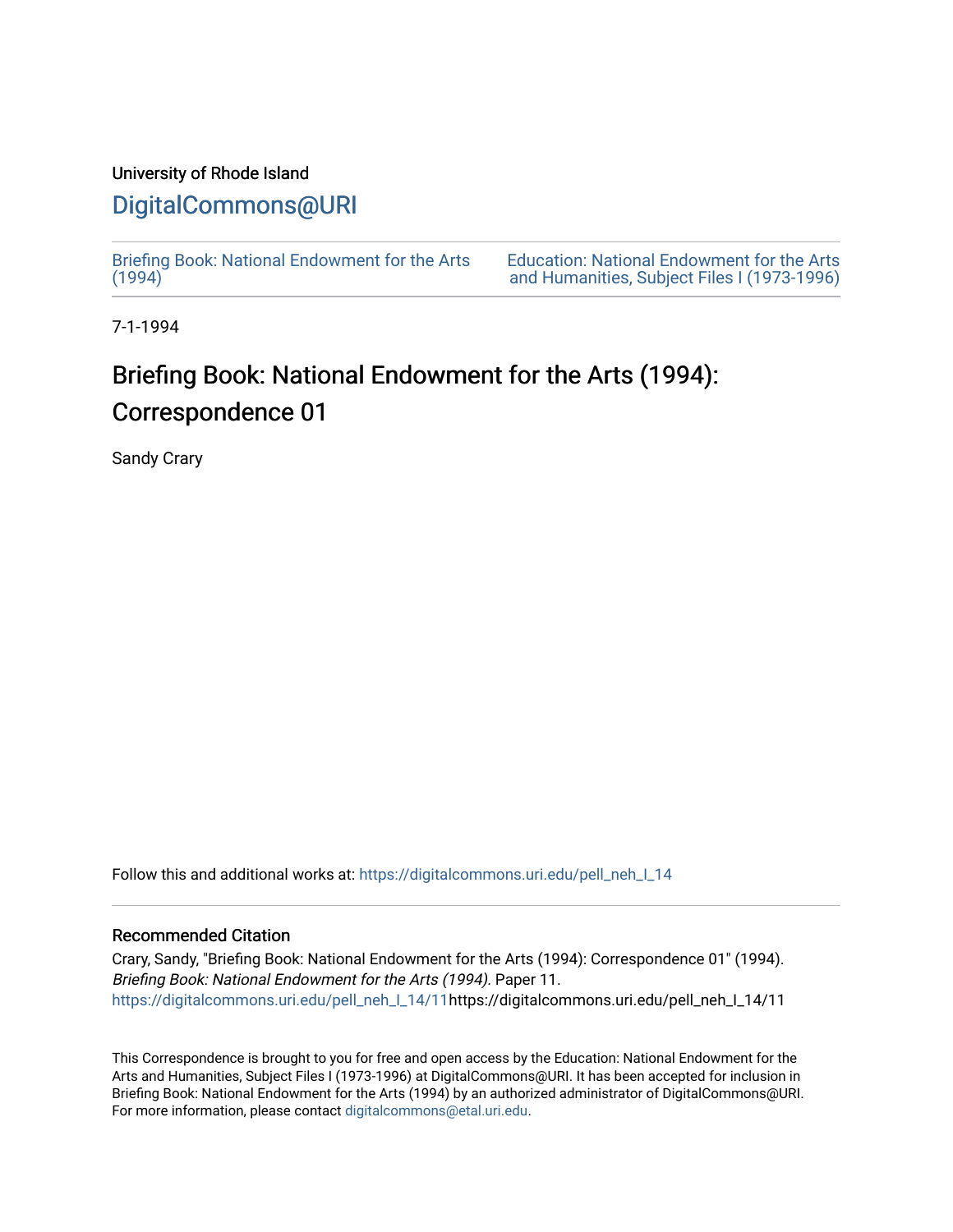## University of Rhode Island

# [DigitalCommons@URI](https://digitalcommons.uri.edu/)

[Briefing Book: National Endowment for the Arts](https://digitalcommons.uri.edu/pell_neh_I_14)  $(1994)$ 

[Education: National Endowment for the Arts](https://digitalcommons.uri.edu/pell_neh_I)  [and Humanities, Subject Files I \(1973-1996\)](https://digitalcommons.uri.edu/pell_neh_I) 

7-1-1994

# Briefing Book: National Endowment for the Arts (1994): Correspondence 01

Sandy Crary

Follow this and additional works at: [https://digitalcommons.uri.edu/pell\\_neh\\_I\\_14](https://digitalcommons.uri.edu/pell_neh_I_14?utm_source=digitalcommons.uri.edu%2Fpell_neh_I_14%2F11&utm_medium=PDF&utm_campaign=PDFCoverPages) 

### Recommended Citation

Crary, Sandy, "Briefing Book: National Endowment for the Arts (1994): Correspondence 01" (1994). Briefing Book: National Endowment for the Arts (1994). Paper 11. [https://digitalcommons.uri.edu/pell\\_neh\\_I\\_14/11h](https://digitalcommons.uri.edu/pell_neh_I_14/11?utm_source=digitalcommons.uri.edu%2Fpell_neh_I_14%2F11&utm_medium=PDF&utm_campaign=PDFCoverPages)ttps://digitalcommons.uri.edu/pell\_neh\_I\_14/11

This Correspondence is brought to you for free and open access by the Education: National Endowment for the Arts and Humanities, Subject Files I (1973-1996) at DigitalCommons@URI. It has been accepted for inclusion in Briefing Book: National Endowment for the Arts (1994) by an authorized administrator of DigitalCommons@URI. For more information, please contact [digitalcommons@etal.uri.edu](mailto:digitalcommons@etal.uri.edu).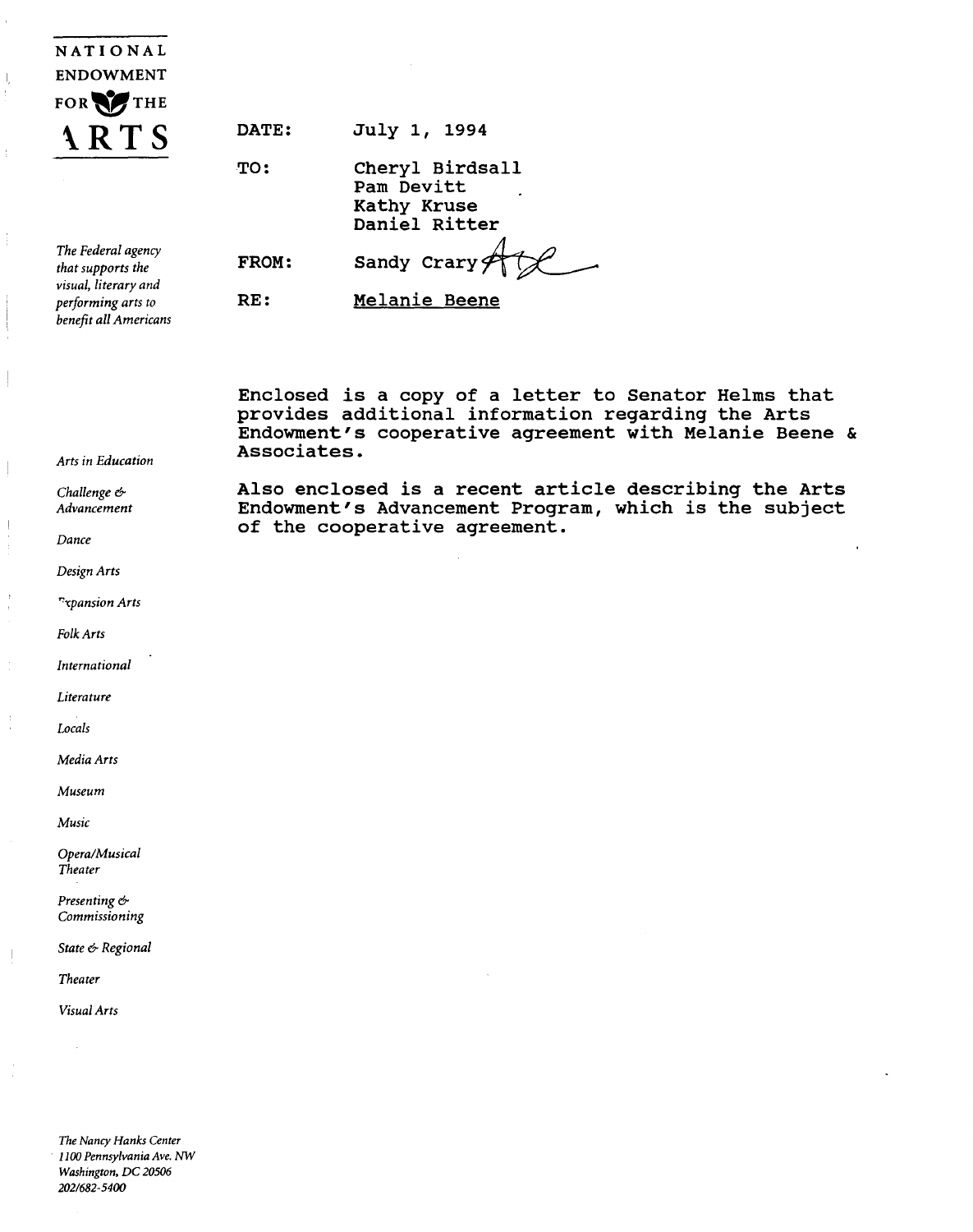| NATIONAL                                            |  |  |  |
|-----------------------------------------------------|--|--|--|
| <b>ENDOWMENT</b>                                    |  |  |  |
| FOR THE                                             |  |  |  |
| $\mathbf{A}$ $\mathbf{R}$ $\mathbf{I}$ $\mathbf{S}$ |  |  |  |
|                                                     |  |  |  |

| <b>DATE:</b> |  | July 1, 1994 |
|--------------|--|--------------|
|              |  |              |

TO:

FROM:

RE:

Cheryl Birdsall Pam Devitt Kathy Kruse Daniel Ritter

Sandy Crary $#$ 

*The Federal agency that supports the visual, literary and performing arts to benefit all Americans* 

Melanie Beene

of the cooperative agreement.

Enclosed is a copy of a letter to Senator Helms that provides additional information regarding the Arts Endowment's cooperative agreement with Melanie Beene & Associates.

Also enclosed is a recent article describing the Arts Endowment's Advancement Program, which is the subject

*Arts in Education* 

*Challenge* & *Advancement* 

*Dance* 

*Design Arts* 

*'"'"Cpansion Arts* 

*Folk Arts* 

*International* 

*Literature* 

*Locals* 

*Media Arts* 

*Museum* 

*Music* 

*Opera/Musical Theater* 

*Presenting* & *Commissioning* 

*State* & *Regional* 

*Theater* 

*Visual Arts* 

*The Nancy Hanks Center*  · *1100 Pennsylvania Ave. NW Washington, DC 20506 2021682-5400*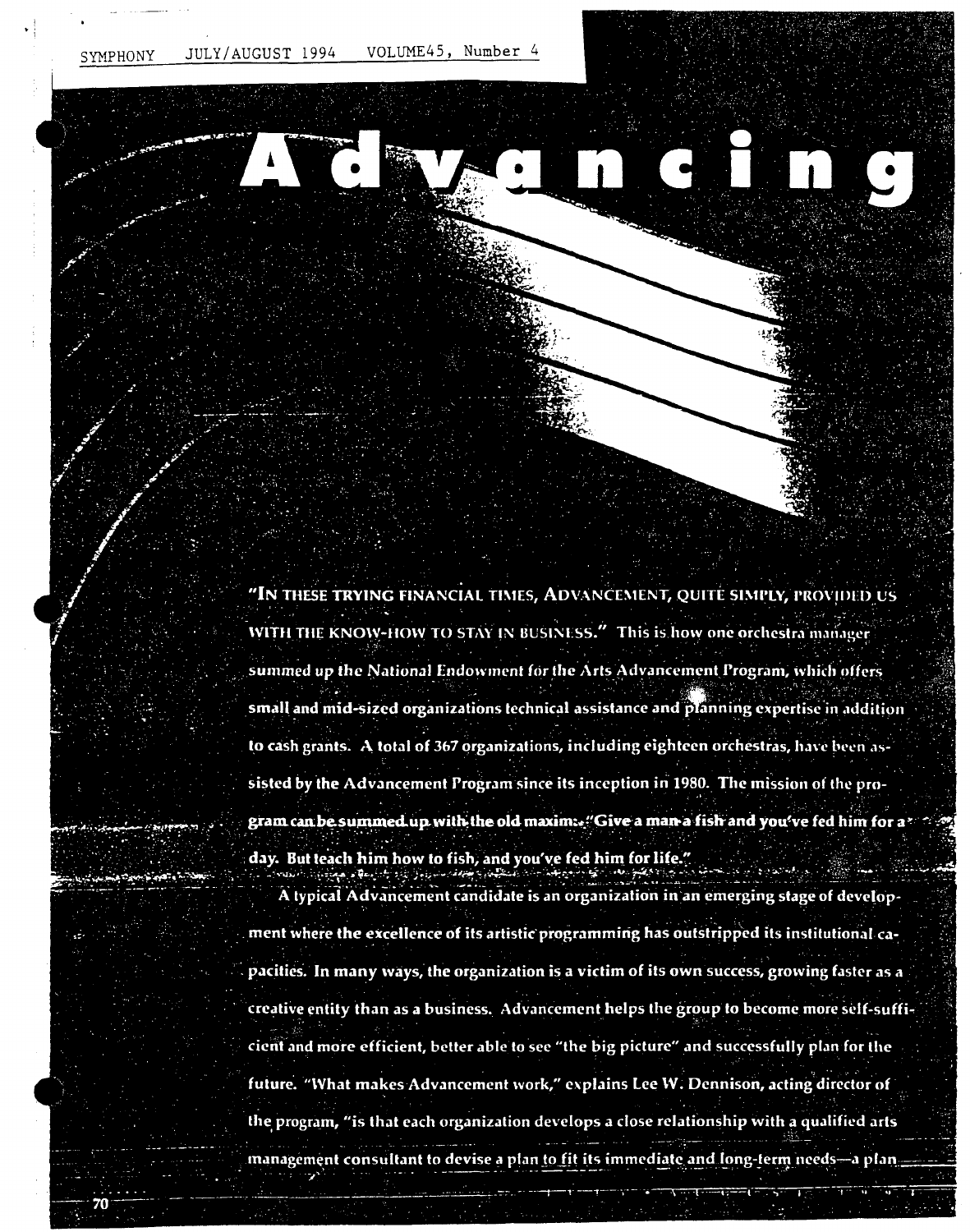VOLUME45, Number 4 JULY/AUGUST 1994 SYMPHONY

"IN THESE TRYING FINANCIAL TIMES, ADVANCEMENT, QUITE SIMPLY, PROVIDED US WITH THE KNOW-HOW TO STAY IN BUSINESS." This is how one orchestra manager summed up the National Endowment for the Arts Advancement Program, which offers

small and mid-sized organizations technical assistance and planning expertise in addition to cash grants. A total of 367 organizations, including eighteen orchestras, have been assisted by the Advancement Program since its inception in 1980. The mission of the program can be summed up with the old maxim: "Give a man a fish and you've fed him for a'

day. But teach him how to fish, and you've fed him for life."

A typical Advancement candidate is an organization in an emerging stage of development where the excellence of its artistic programming has outstripped its institutional capacities. In many ways, the organization is a victim of its own success, growing faster as a creative entity than as a business. Advancement helps the group to become more self-sufficient and more efficient, better able to see "the big picture" and successfully plan for the future. "What makes Advancement work," explains Lee W. Dennison, acting director of the program, "is that each organization develops a close relationship with a qualified arts

management consultant to devise a plan to fit its immediate and long-term needs-a plan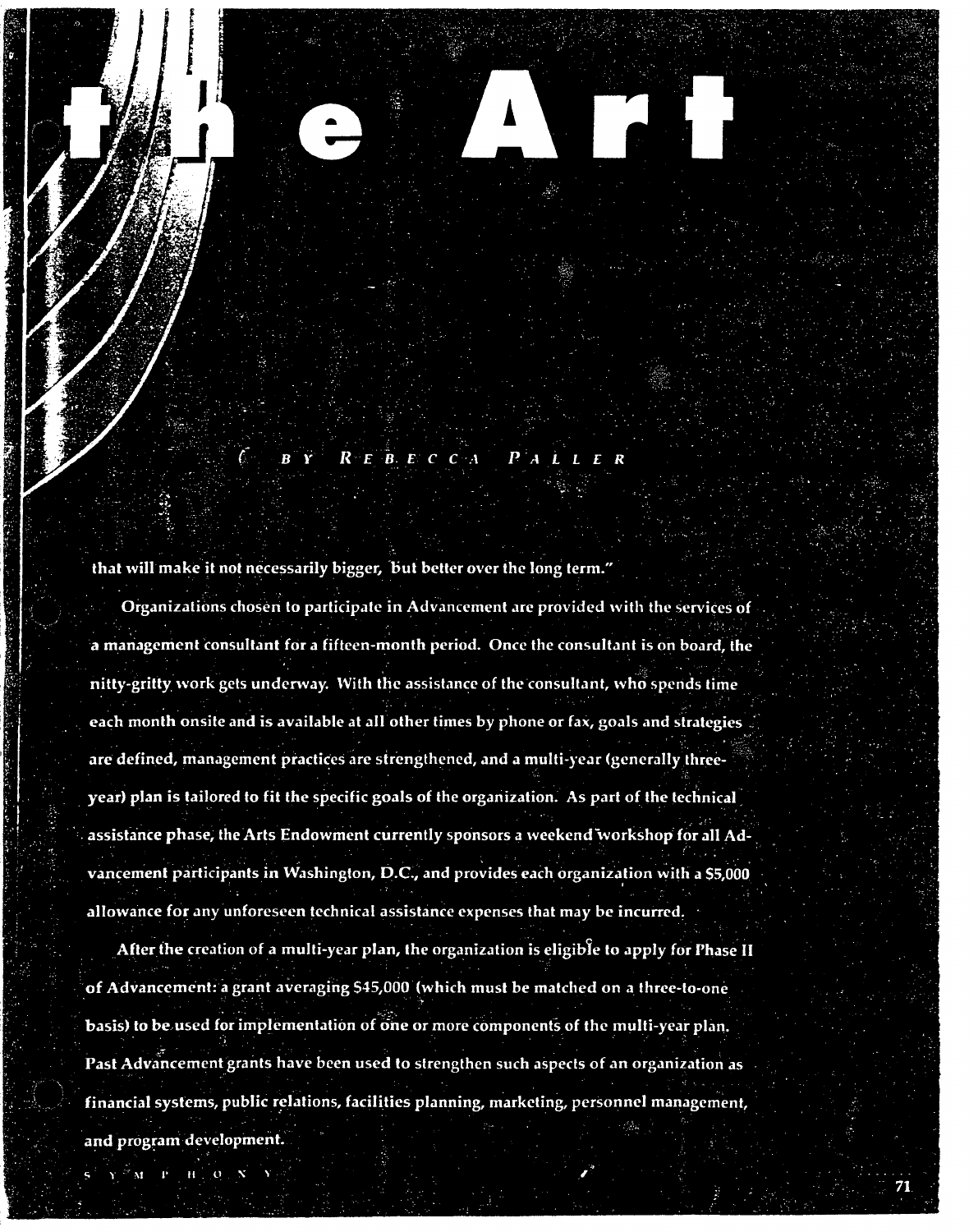$R$  E B E C C A  $P$  A L

that will make it not necessarily bigger, but better over the long term."

Organizations chosen to participate in Advancement are provided with the services of a management consultant for a fifteen-month period. Once the consultant is on board, the nitty-gritty work gets underway. With the assistance of the consultant, who spends time each month onsite and is available at all other times by phone or fax, goals and strategies are defined, management practices are strengthened, and a multi-year (generally threeyear) plan is tailored to fit the specific goals of the organization. As part of the technical assistance phase, the Arts Endowment currently sponsors a weekend workshop for all Advancement participants in Washington, D.C., and provides each organization with a \$5,000 allowance for any unforeseen technical assistance expenses that may be incurred.

After the creation of a multi-year plan, the organization is eligible to apply for Phase II of Advancement: a grant averaging \$45,000 (which must be matched on a three-to-one basis) to be used for implementation of one or more components of the multi-year plan. Past Advancement grants have been used to strengthen such aspects of an organization as financial systems, public relations, facilities planning, marketing, personnel management, and program development.

M P

 $H^{\pm}$  $\overline{O}$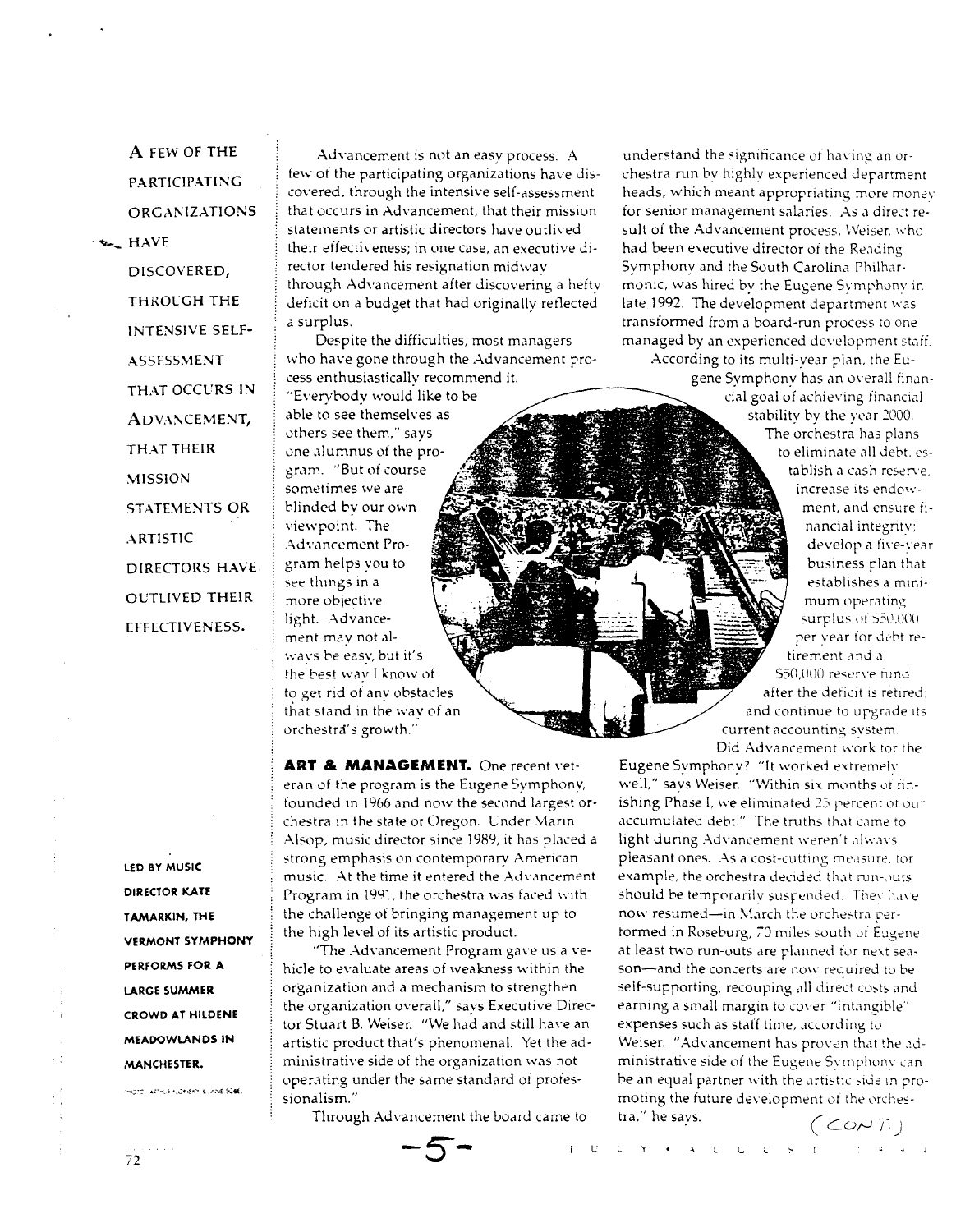**A** FEW OF **THE**  PARTICIPATING ORGANIZATIONS  $\star$ . HAVE DISCOVERED, THROLGH THE INTENSIVE SELF-ASSESSMENT THAT OCCURS IN ADVANCEMENT, THAT THEIR **MISSION** STATEMENTS OR ARTISTIC DIRECTORS HAVE OUTLIVED THEIR EFFECTIVENESS.

> **LEO BY MUSIC DIRECTOR KATE T AMARKIN, THE VERMONT SYMPHONY PERFORMS FOR A LARGE SUMMER CROWD AT HILDENE MEADOWLANDS IN MANCHESTER.**

PHOTO ARTHLE FLONGKY & LANE SCBEL

Advancement is not an easy process. A iew of the participating organizations have discovered. through the intensive self-assessment that occurs in Advancement, that their mission statements or artistic directors have outlived their effectiveness; in one case, an executive director tendered his resignation midwav through Advancement after discovering a hefty deficit on a budget that had originally reflected a surplus.

Despite the difficulties, most managers who have gone through the Advancement process enthusiasticallv recommend it.

"Evervbody would like to be able to see themselves as others see them." says one .1lumnus oi the program. "But of course sometimes we are blinded bv our own viewpoint. The Advancement Program helps you to see things in a more objective light. Advancement may not al- \vays be easy, but it's the best way I know nf to get rid of any obstacles that stand in the wav of an orchestra's growth."

**ART & MANAGEMENT.** One recent veteran of the program is the Eugene Symphony, founded in 1966 and now the second largest orchestra in the state of Oregon. Cnder \farin Alsop, music director since 1989, it has placed a strong emphasis on contemporary American music. At the time it entered the Advancement Program in 1991, the orchestra was faced with the challenge of bringing management up to the high level of its artistic product.

"The Advancement Program gave us a vehicle to evaluate areas of weakness within the organization and a mechanism to strengthen the organization overall." says Executive Director Stuart B. Weiser. "We had and still have an artistic product that's phenomenal. Yet the administrative side of the organization was not operating under the same standard of professionalism."

Through Advancement the board came to  $\overline{\mathcal{S}}$  **-1** 

understand the significance of having an orchestra run by highly experienced department heads, which meant appropriating more money for senior management salaries. As a direct result of the Advancement process. Weiser. who had been executive director of the Reading Symphony and the South Carolina Philharmonic, was hired by the Eugene Symphony in late 1992. The development department was transformed from a board-run process to one managed by an experienced development staff.

According to its multi-year plan, the Eugene Symphony has an overall financial goal of achieving financial stability by the year *2000.*  The orchestra has plans to eliminate all debt. establish a cash reserve. increase its endowment, and ensure financial integntv: develop a five-year business plan that establishes a minimum operating surplus of 550.000 per vear tor debt retirement and a \$50.000 reserve rund after the deficit is retired; and continue to upgrade its current accounting system. Did Advancement work for the

Eugene Symphony? "It worked extremely well," says Weiser. "Within six months of finishing Phase I, we eliminated 25 percent of our accumulated debt." The truths that came to light during Advancement weren't always. pleasant ones. As a cost-cutting measure, for example, the orchestra decided that run-outs. should be temporarily suspended. They have now resumed-in March the orchestra performed in Roseburg, 70 miles south of Eugene: at least two run-outs are planned for next season-and the concerts are now required to be self-supporting, recouping all direct costs and earning a small margin to cover "intangible" expenses such as staff time, according to Weiser. "Advancement has proven that the administrative side of the Eugene Symphony can be an equal partner with the artistic side in promoting the future development of the orches-<br>tra," he says.  $\sqrt{\epsilon_0 r}$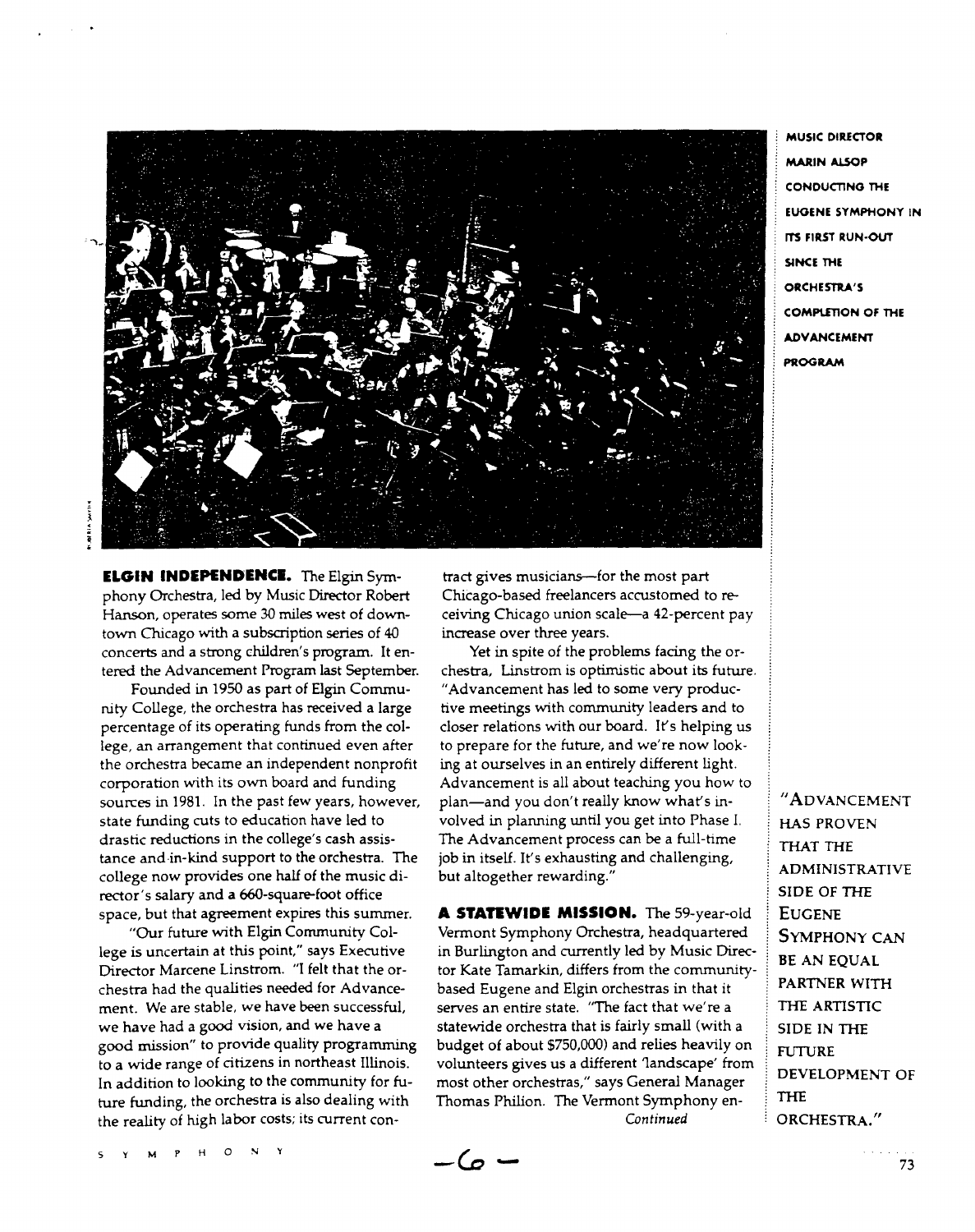

**MUSIC DIRECTOR MARIN ALSOP** CONDUCTING THE EUGENE SYMPHONY IN ITS FIRST RUN-OUT SINCE THE ORCHESTRA'S **COMPLETION OF THE** ADVANCEMENT PROGRAM

**ELGIN INDEPENDENCE.** The Elgin Symphony Orchestra, led by Music Director Robert Hanson, operates some *30* miles west of downtown Chicago with a subscription series of 40 concerts and a strong children's program. It entered the Advancement Program last September.

Founded in 1950 as part of Elgin Community College, the orchestra has received a large percentage of its operating funds from the college, an arrangement that continued even after the orchestra became an independent nonprofit corporation with its own board and funding sources in 1981. In the past few years, however, state funding cuts to education have led to drastic reductions in the college's cash assistance and·in-kind support to the orchestra. The college now provides one half of the music director's salary and a 660-square-foot office space, but that agreement expires this summer.

"Our future with Elgin Community College is uncertain at this point," says Executive Director Marcene Linstrom. "I felt that the orchestra had the qualities needed for Advancement. We are stable, we have been successful, we have had a good vision, and we have a good mission" to provide quality programming to a wide range of citizens in northeast Illinois. In addition to looking to the community for future funding, the orchestra is also dealing with the reality of high labor costs; its current con-

tract gives musicians-for the most part Chicago-based freelancers accustomed to receiving Chicago union scale-a 42-percent pay increase over three years.

Yet in spite of the problems facing the orchestra, Linstrom is optimistic about its future. "Advancement has led to some very productive meetings with community leaders and to closer relations with our board. It's helping us to prepare for the future, and we're now looking at ourselves in an entirely different light. Advancement is all about teaching you how to plan-and you don't really know what's involved in planning until you get into Phase I. The Advancement process can be a full-time job in itself. It's exhausting and challenging, but altogether rewarding."

**A STATEWIDE MISSION.** The 59-year-old Vermont Symphony Orchestra, headquartered in Burlington and currently led by Music Director Kate Tamarkin, differs from the communitybased Eugene and Elgin orchestras in that it serves an entire state. "The fact that we're a statewide orchestra that is fairly small (with a budget of about \$750,000) and relies heavily on volunteers gives us a different 1andscape' from most other orchestras," says General Manager Thomas Philion. The Vermont Symphony en-*Continued* 

"ADVANCEMENT HAS PROVEN THAT THE ADMINISTRATIVE SIDE OF THE **EUGENE** SYMPHONY CAN BE AN EQUAL PARTNER WITH THE ARTISTIC SIDE IN THE **FUTURE** DEVELOPMENT OF **THE** ORCHESTRA."

 $-\omega$   $-$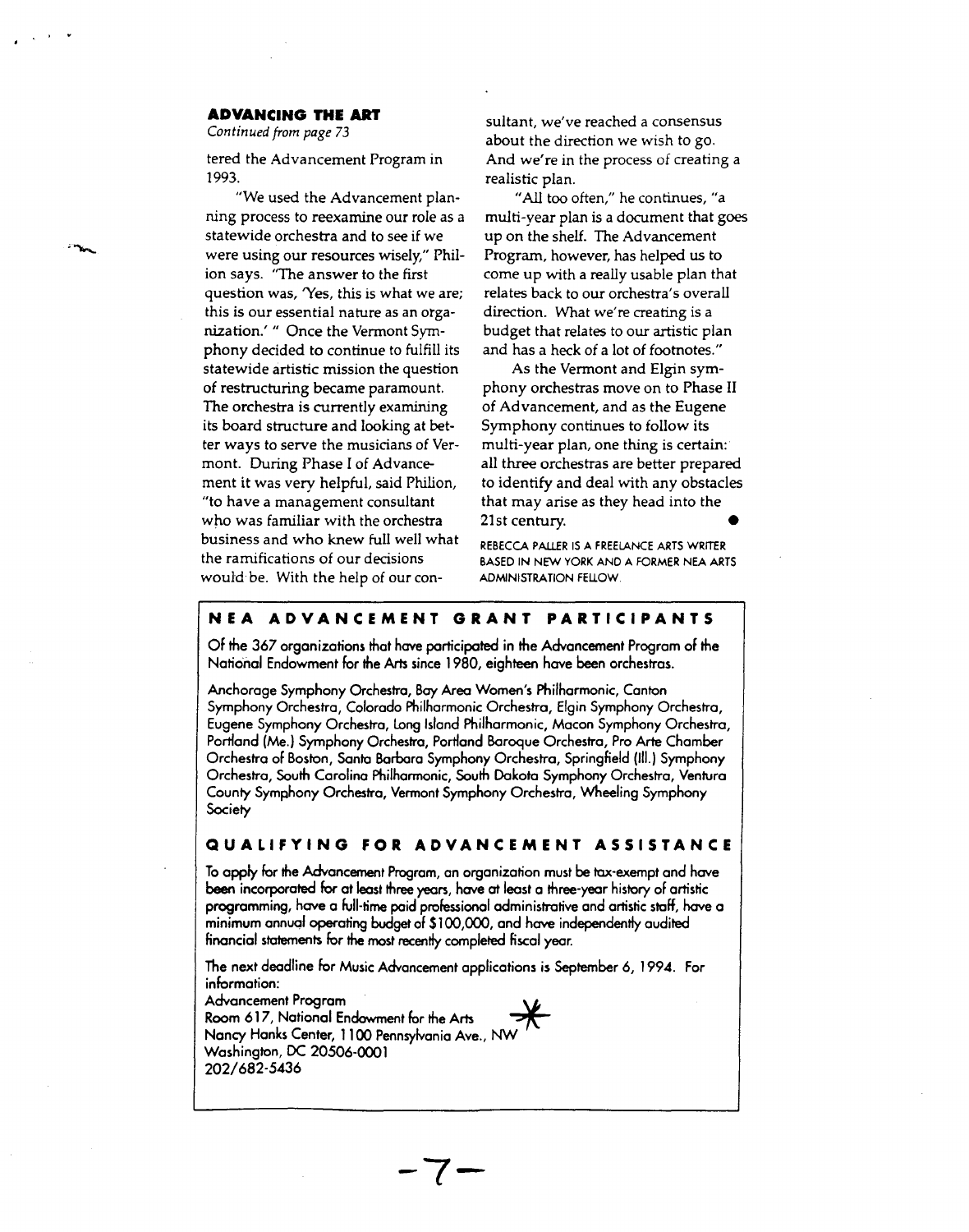### **ADVANCING THE ART**

*Continued from page* 73

tered the Advancement Program in 1993.

"We used the Advancement planning process to reexamine our role as a statewide orchestra and to see if we were using our resources wisely," Philion says. "The answer to the first question was, 'Yes, this is what we are; this is our essential nature as an organization.'" Once the Vermont Symphony decided to continue to fulfill its statewide artistic mission the question of restructuring became paramount. The orchestra is currently examining its board structure and looking at better ways *to* serve the musicians of Vermont. During Phase I of Advancement it was very helpful, said Philion, "to have a management consultant who was familiar with the orchestra business and who knew full well what the ramifications of our decisions would be. With the help of our con-

sultant, we've reached a consensus about the direction we wish to go. And we're in the process of creating a realistic plan.

"All too often," he continues, "a multi-year plan is a document that goes up on the shelf. The Advancement Program, however, has helped us to come up with a really usable plan that relates back to our orchestra's overall direction. What we're creating is a budget that relates to our artistic plan and has a heck of a lot of footnotes."

As the Vermont and Elgin symphony orchestras move on to Phase II of Advancement, and as the Eugene Symphony continues to follow its multi-year plan, one thing is certain: all three orchestras are better prepared to identify and deal with any obstacles that may arise as they head into the 21st century. •

REBECCA PAUER IS A FREELANCE ARTS WRITER BASED IN NEW YORK AND A FORMER NEA ARTS ADMINISTRATION FEUOW.

### **NEA ADVANCEMENT GRANT PARTICIPANTS**

Of the 367 organizations that have participated in the Advancement Program of the National Endowment for the Arts since 1980, eighteen have been orchestras.

Anchorage Symphony Orchestra, Bay Area Women's Philharmonic, Canton Symphony Orchestra, Colorado Philharmonic Orchestra, Elgin Symphony Orchestra, Eugene Symphony Orchestra, Long Island Philharmonic, Macon Symphony Orchestra, Portland (Me.) Symphony Orchestra, Portland Baroque Orchestra, Pro Arte Chamber Orchestra of Boston, Santa Barbara Symphony Orchestra, Springfield (Ill.) Symphony Orchestra, South Carolina Philharmonic, South Dakota Symphony Orchestra, Ventura County Symphony Orchestra, Vermont Symphony Orchestra, Wheeling Symphony **Society** 

### **QUALIFYING FOR ADVANCEMENT ASSISTANCE**

To apply for the Advancement Program, an organization must be tax-exempt and have been incorporated for at least three years, have at least a three-year history of artistic programming, have a full-time paid professional administrative and artistic staff, have a minimum annual operating budget of \$100,000, and have independently audited financial statements for the most recently completed fiscal year.

The next deadline for Music Advancement applications is September 6, 1994. For information:

**-7-**

Advancement Program Room 617, National Endowment for the Arts ~ Nancy Hanks Center, 1100 Pennsylvania Ave., NW Washington, DC 20506-0001 202/682-5436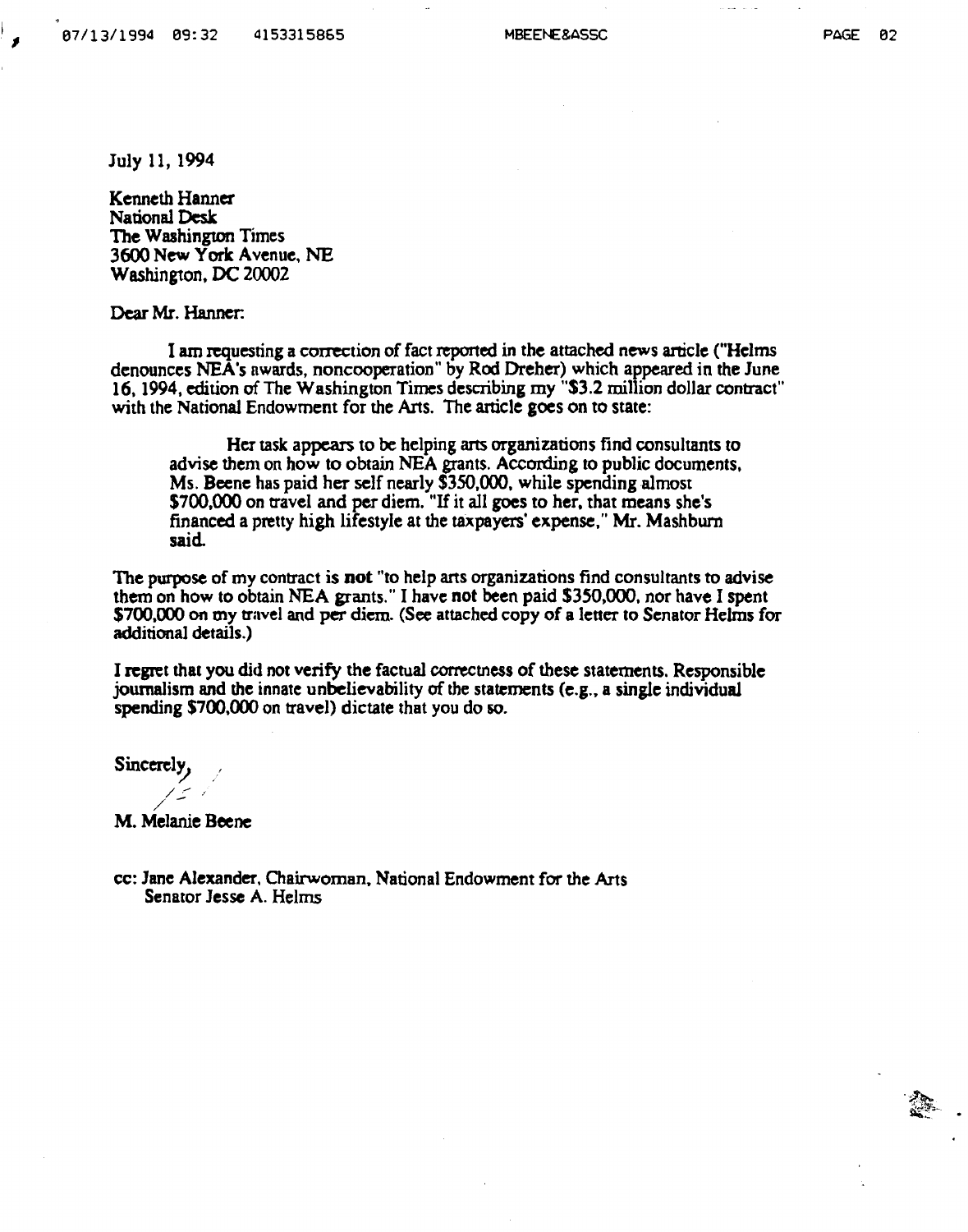PAGE 02

July 11, 1994

Kenneth Hanner National Desk The Washington Times 3600 New York Avenue, NE Washington. DC 20002

Dear Mr. Hanner:

I am requesting a correction of fact reported in the attached news aniclc ("Helms denounces NEA's awards, noncooperation" by Rod Dreher) which appeared in the June 16. 1994, edition of The Washington Times describing my "\$3.2 million dollar contract" with the National Endowment for the Arts. The article goes on to state:

Her task appears to be helping arts organizations find consultants to advise them on how to obtain NEA grants. According to public documents, Ms. Beene has paid her self nearly \$350,000, while spending almost \$700,000 on travel and per diem. "If it all goes to her, that means she's financed a pretty high lifestyle at the taxpayers' expense," Mr. Mashburn said

The purpose of my contract is not "to help arts organizations find consultants to advise them on how to obtain NEA grants." I have not been paid \$350,000, nor have I spent \$700,000 on my travel and per diem. (See attached copy of a letter to Senator Helms for additional details.)

I regret that you did not verify the factual correctness of these statements. Responsible journalism and the innate unbelievability of the statements (e.g., a single individual spending \$700,000 on travel) dictate that you do so.

Sincere!~ */* 

/ .- .' M. Melanie Beene

cc: Jane Alexander, Chairwoman, National Endowment for the Arts Senator Jesse A. Helms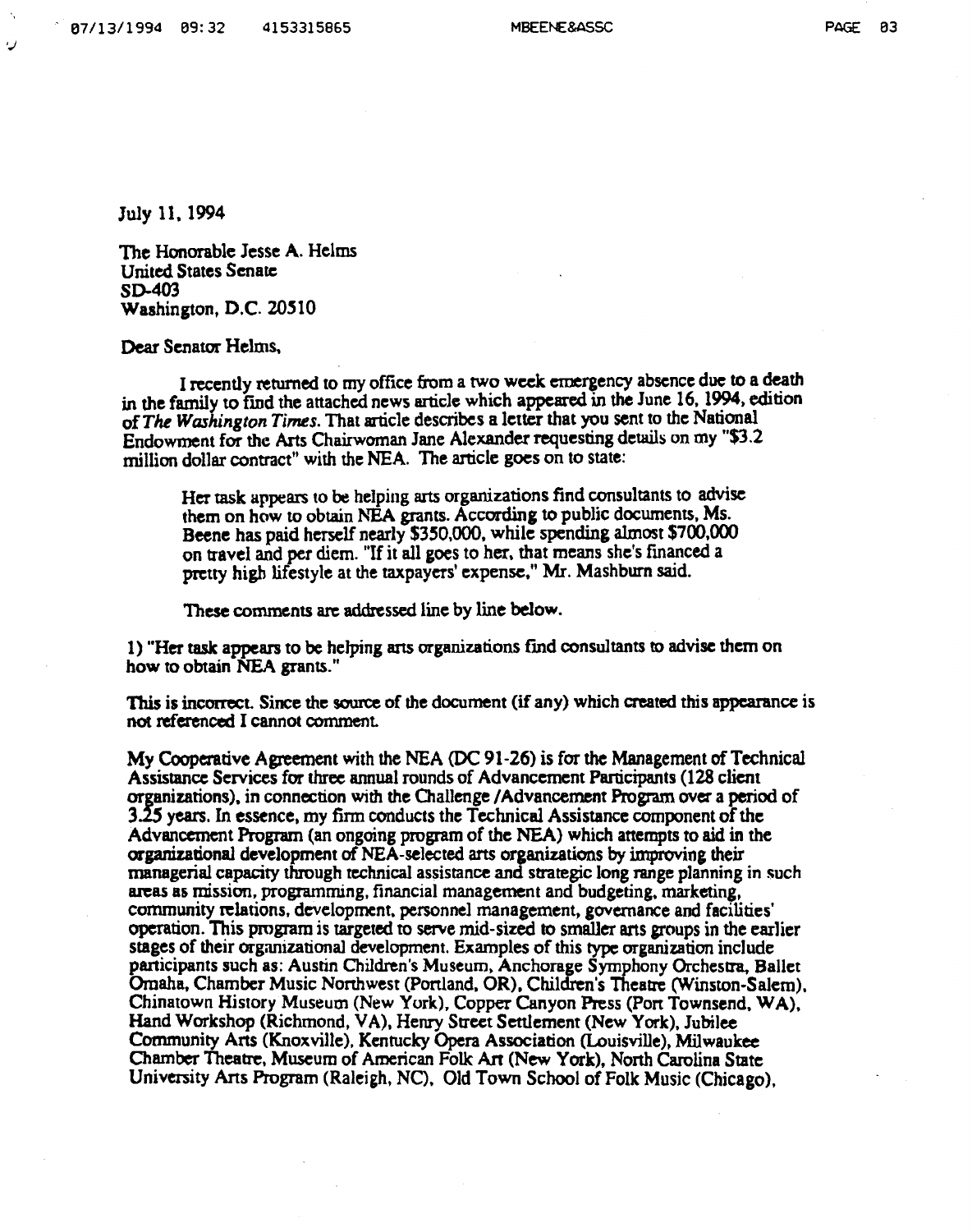PAGE 03

July 11, 1994

The Honorable Jesse A. Helms United States Senate SD-403 Washington, D.C. 20510

Dear Senator Helms.

I recently returned to my office from a two week emergency absence due to a death in the family to find the attached news article which appeared in the June 16, 1994, edition of *The Washington Times*. That article describes a letter that you sent to the National Endowment for the Arts Chairwoman Jane Alexander requesting details on my "\$3.2 million dollar contract" with the NEA. The anicle goes on to state:

Her task appears to be helping arts organizations find consultants to advise them on how to obtain NEA grants. According to public documents, Ms. Beene has paid herself nearly \$330,000, while spending almost \$700,000 on travel and per diem. "If it all goes to her, that means she's financed a pretty high lifestyle at the taxpayers' expense," Mr. Mashburn said.

These comments arc addressed line by line below.

1) "Her task appears to be helping arts organizations find consultants to advise them on how to obtain NEA grants."

This is incorrect. Since the source of the document (if any) which created this appearance is not referenced I cannot comment

My Cooperative Agreement with the NEA (DC 91-26) is for the Management of Technical Assistance Services for three annual rounds of Advancement Participants (128 client organizations), in connection with the Challenge /Advancement Program over a period of 3.2.5 years. In essence, my finn conducts the Technical Assistance component of the Advancement Program (an ongoing program of the NEA) which attempts to aid in the organizational development of NEA-selected ans organizations by improving their managerial capacity through technical assistance and strategic long range planning in such areas as mission, programming, financial management and budgeting. marketing, community relations, development, personnel management, governance and facilities' operation. This program is targeted to serve mid-sized to smaller arts groups in the earlier stages of their organizational development. Examples of this type organization include participants such as: Austin Children's Museum. Anchorage Symphony Orchestra. Ballet Omaha, Chamber Music Nonhwest (Penland, OR). Children's Theatre (Winston-Salem). Chinatown History Museum (New York), Copper Canyon Press (Port Townsend.WA), Hand Workshop (Richmond, VA). Henry Street Settlement (New York), Jubilee Community ArtS (Knoxville), Kentucky Opera Association (Louisville), Milwaukee Chamber Theatre, Museum of American Folk An (New York), Nonh Carolina State University Ans Program (Raleigh, NO. Old Town School of Folk Music (Chicago),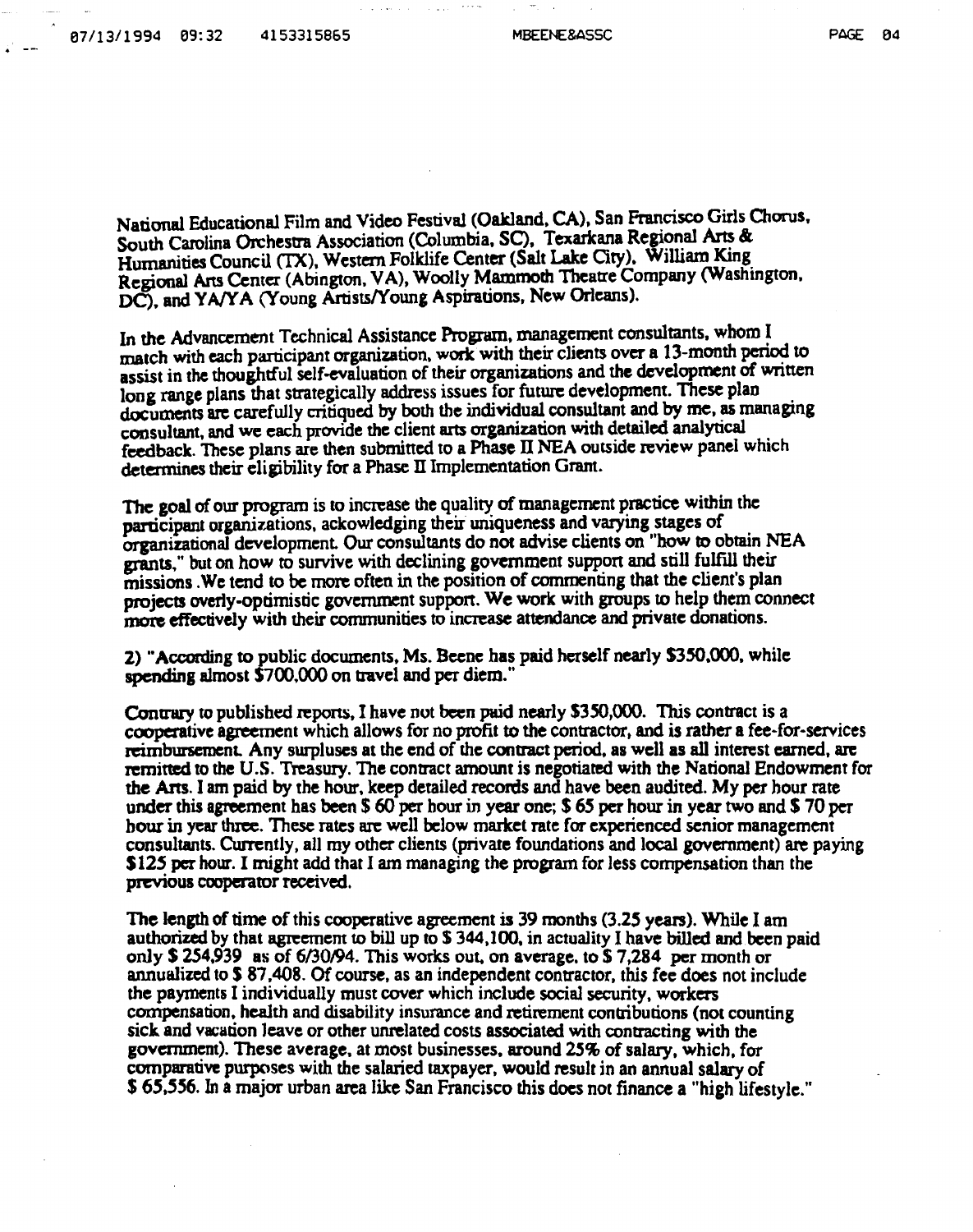PAGE PA

National Educational Film and Video Festival (Oakland, CA), San Francisco Girls Chorus. South Carolina Orchestra Association (Columbia, SC), Texarkana Regional Arts & Humanities Council (TX), Western Folklife Center (Salt Lake City). William King. Regional Arts Center (Abington. VA), Woolly Mammoth Theatre Company (Washington. DC), and YA/YA (Young Artists/Young Aspirations, New Orleans).

In the Advancement Technical Assistance Program, management consultants, whom I match with each participant organization, work with their clients over a 13-month period to assist in the thoughtful self-evaluation of their organizations and the development of written long range plans that strategically address issues for future development. These plan documents arc carefully critiqued by both the individual consultant and by me, as managing consultant, and we each provide the client arts organization with detailed analytical feedback. These plans are then submitted to a Phase II NEA outside review panel which determines their eligibility for a Phase II Implementation Grant.

The goal of our program is to increase the quality of management practice within the participant organizations, ackowledging their uniqueness and varying stages of organizational development Our consultants do not advise clients on "how to obtain NEA grants," but on how to survive with declining government support and still fulfill their missions .We tend to be more often in the position of commenting that the client's plan projects overly-optimistic government suppon. We work with groups to help them connect more effectively with their communities to increase attendance and private donations.

2) '"According to public documents. Ms. Beene has paid herself nearly 5350.000. while spending almost \$700.000 on travel and per diem."

Contrary to published repons. I have not been parid nearly S3SO,OOO. This contract is a cooperative agreement which allows for no profit to the contractor. and is rather a fee·for·services reimbursement. Any surpluses at the end of the contract period, as well as all interest earned, are remitted to the U.S. Treasury. The contract amount is negotiated with the National Endowment for the Ans. I am paid by the hour, keep detailed records and have been audited. My per hour rate under this agreement has been \$ 60 per hour in year one; \$ 65 per hour in year two and S 70 per hour in year three. These rates are well below market rate for experienced senior management consultants. Currently. all my other clients (private foundations and local government) are paying **S125 per hour. I might add that I am managing the program for less compensation than the** previous cooperator received.

The length of time of this cooperative agreement is 39 months {3.25 years). While I am authorized by that agreement to bill up to  $$344,100$ , in actuality I have billed and been paid only \$ 254,939 as of 6/30/94. This works out, on average, to \$7,284 per month or annualized to \$87,408. Of course, as an independent contractor, this fee does not include the payments I individually must cover which include social security, workers compensation, health and disability insurance and retirement contributions (not counting sick and vacation leave or other unrelated costs associated with contracting with the government). These average, at most businesses. around *25%* of salary, which, for comparative purposes with the salaried taxpayer, would result in an annual salary of \$ 65,556. In a major urban area like San Francisco this does not finance a "high lifestyle."